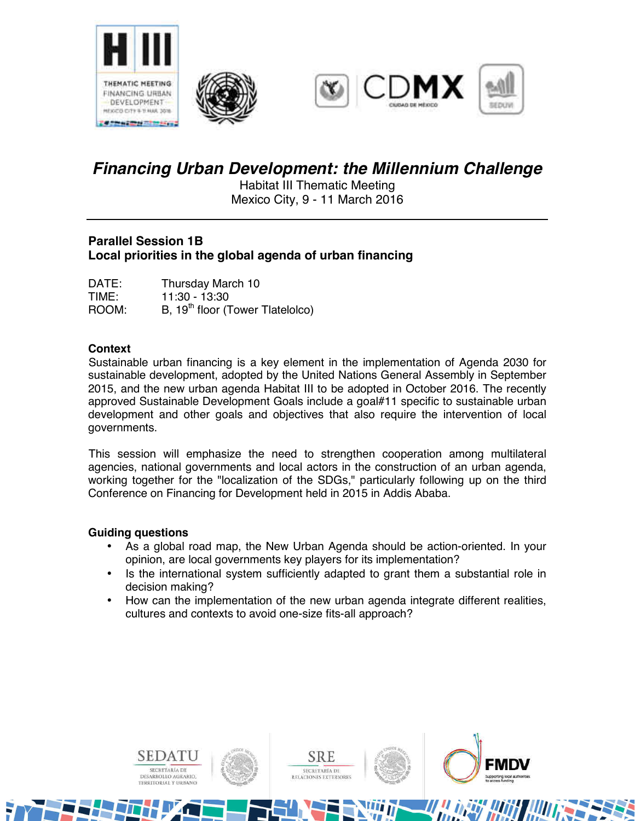





# *Financing Urban Development: the Millennium Challenge*

Habitat III Thematic Meeting Mexico City, 9 - 11 March 2016

# **Parallel Session 1B Local priorities in the global agenda of urban financing**

| DATE: | Thursday March 10                            |
|-------|----------------------------------------------|
| TIME: | 11:30 - 13:30                                |
| ROOM: | B, 19 <sup>th</sup> floor (Tower Tlatelolco) |

# **Context**

Sustainable urban financing is a key element in the implementation of Agenda 2030 for sustainable development, adopted by the United Nations General Assembly in September 2015, and the new urban agenda Habitat III to be adopted in October 2016. The recently approved Sustainable Development Goals include a goal#11 specific to sustainable urban development and other goals and objectives that also require the intervention of local governments.

This session will emphasize the need to strengthen cooperation among multilateral agencies, national governments and local actors in the construction of an urban agenda, working together for the "localization of the SDGs," particularly following up on the third Conference on Financing for Development held in 2015 in Addis Ababa.

## **Guiding questions**

- As a global road map, the New Urban Agenda should be action-oriented. In your opinion, are local governments key players for its implementation?
- Is the international system sufficiently adapted to grant them a substantial role in decision making?
- How can the implementation of the new urban agenda integrate different realities, cultures and contexts to avoid one-size fits-all approach?